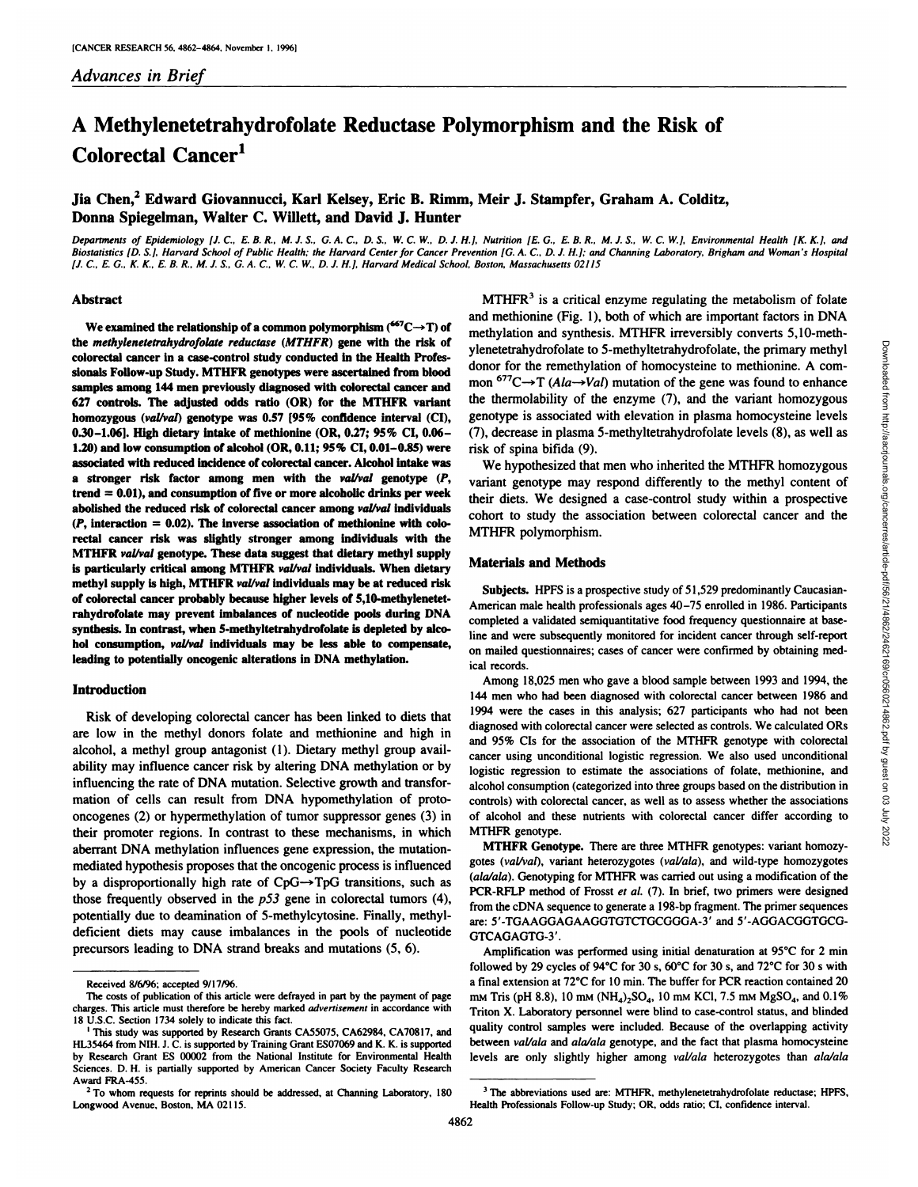# **A Methylenetetrahydrofolate Reductase Polymorphism and the Risk of Colorectal Cancer'**

# **Jia Chen,2 Edward Giovannucci, Karl Kelsey, Eric B.Rimm, Meir J. Stampfer, Graham A. Colditz,** Donna Spiegelman, Walter C. Willett, and David J. Hunter

Departments of Epidemiology [J. C., E. B. R., M. J. S., G. A. C., D. S., W. C. W., D. J. H.], Nutrition [E. G., E. B. R., M. J. S., W. C. W.], Environmental Health [K. K.], and Biostatistics [D. S.], Harvard School of Public Health; the Harvard Center for Cancer Prevention [G. A. C., D. J. H.]; and Channing Laboratory, Brigham and Woman's Hospital [J. C., E. G., K. K., E. B. R., M. J. S., G. A. C., W. C. W., D. J. H.], Harvard Medical School, Boston, Massachusetts 02115

#### Abstract

We examined the relationship of a common polymorphism  $(^{667}C \rightarrow T)$  of **the methylenetetrahydrofolatereductase (MTHFR) gene with the risk of colorectal cancer in a case-control study conducted In the Health Profes** sionals Follow.up Study. MTHFR genotypes were ascertained from blood samples among 144 men previously diagnosed with colorectal cancer and **627 controls. The adjusted odds ratio (OR) for the MTHFR variant homozygous (val/val) genotype was 0.57 [95% confIdence interval (CI),** 0.30—1.06]. HIgh dietary Intake of methionine (OR, 0.27; 95% CI, 0.06— 1.20) and low consumption of alcohol  $(OR, 0.11; 95\% \text{ CI}, 0.01-0.85)$  were associated with reduced incidence of colorectal cancer. Alcohol intake was **a stronger risk factor among men with the vaUval genotype (P, trend 0.01), and consumption of five or more alcoholic drinks per week** abolished the reduced risk of colorectal cancer among val/val individuals *(P, interaction 0.02). The Inverse association of methionine with cob* **rectal cancer risk was slightly stronger among individuals with the MTHFR i'aL/valgenotype. These data suggest that dietary methyl supply Is particularly critical among MTHFR vol/vol individuals. When dietary methyl supply Is high, MTHFR val/valindividuals may be at reduced risk** of colorectal cancer probably because higher levels of 5,10-methylenetetrahydrofolate may prevent imbalances of nucleotide pools during DNA synthesis. In contrast, when 5-methyltetrahydrofolate is depleted by alco**hol consumption, val/val individuals may be less able to compensate,** leading to potentially oncogenic alterations in DNA methylation.

## Introduction

Risk of developing colorectal cancer has been linked to diets that are low in the methyl donors folate and methionine and high in alcohol, a methyl group antagonist (1). Dietary methyl group avail ability may influence cancer risk by altering DNA methylation or by influencing the rate of DNA mutation. Selective growth and transfor **mation of cells can result from DNA hypomethylation of proto** oncogenes (2) or hypermethylation of tumor suppressor genes (3) in their promoter regions. In contrast to these mechanisms, in which **aberrant DNA methylation influences gene expression, the mutation** mediated hypothesis proposes that the oncogenic process is influenced by a disproportionally high rate of  $CpG \rightarrow TpG$  transitions, such as those frequently observed in the  $p53$  gene in colorectal tumors (4), potentially due to deamination of 5-methylcytosine. Finally, methyl **deficient diets may cause imbalances in the pools of nucleotide** precursors leading to DNA strand breaks and mutations (5, 6).

 $MTHFR<sup>3</sup>$  is a critical enzyme regulating the metabolism of folate and methionine (Fig. 1), both of which are important factors in DNA ylenetetrahydrofolate to 5.methyltetrahydrofolate, the primary methyl **donor for the remethylation of homocysteine to methionine. A com mon**  $677C \rightarrow T (Ala \rightarrow Val)$  mutation of the gene was found to enhance the thermolability of the enzyme (7), and the variant homozygous genotype is associated with elevation in plasma homocysteine levels *(7), decrease in plasma 5-methyltetrahydrofolate levels (8), as well as* risk of spina bifida (9).

**We hypothesized that men who inherited the MTHFR homozygous** variant genotype may respond differently to the methyl content of **their diets. We designed a case-control study within a prospective** cohort to study the association between colorectal cancer and the MTHFR polymorphism.

#### Materials and Methods

Subjects. HPFS is a prospective study of 51,529 predominantly Caucasian-American male health professionals ages 40–75 enrolled in 1986. Participants completed a validated semiquantitative food frequency questionnaire at base line and were subsequently monitored for incident cancer through self-report on mailed questionnaires; cases of cancer were confirmed by obtaining med ical records.

methylation and synthesis. MTHFR irreversibly converts 5,10-meth-<br>ylendertarhydrofoliate to 5-methylatterahydrofoliate, the primary methyle<br>donor for the remethylation of homocysteine to methionine. A com-<br>mon <sup>677</sup>C $\rightarrow$ T Among 18,025 men who gave a blood sample between 1993 and 1994, the 144 men who had been diagnosed with colorectal cancer between 1986 and 1994 were the cases in this analysis; 627 participants who had not been diagnosed with colorectal cancer were selected as controls. We calculated ORs and 95% CIs for the association of the MTHFR genotype with colorectal cancer using unconditional logistic regression. We also used unconditional logistic regression to estimate the associations of folate, methionine, and alcohol consumption (categorized into three groups based on the distribution in controls) with colorectal cancer, as well as to assess whether the associations of alcohol and these nutrients with colorectal cancer differ according to MTHFR genotype.

**MTHFR Genotype.** There are three MTHFR genotypes: variant homozygotes (val/val), variant heterozygotes (val/ala), and wild-type homozygotes *(ala/ala). Genotyping for MTHFR was carriedout using a modification of the* PCR-RFLP method of Frosst et al. (7). In brief, two primers were designed from the cDNA sequence to generate a 198-bp fragment. The primer sequences are: 5'-TGAAGGAGAAGGTGTCTGCGGGA-3' and 5'-AGGACGGTGCG GTCAGAGTG-3'.

Amplification was performed using initial denaturation at 95°C for 2 min followed by 29 cycles of 94°C for 30 s, 60°C for 30 s, and 72°C for 30 s with a final extension at 72°C for 10 min. The buffer for PCR reaction contained 20 mm Tris (pH 8.8), 10 mm (NH<sub>4</sub>)<sub>2</sub>SO<sub>4</sub>, 10 mm KCl, 7.5 mm MgSO<sub>4</sub>, and 0.1% Triton X. Laboratory personnel were blind to case-control status, and blinded quality control samples were included. Because of the overlapping activity between val/ala and ala/ala genotype, and the fact that plasma homocysteine levels are only slightly higher among val/ala heterozygotes than ala/ala

Received 8/6/96; accepted 9/17/96.

The costs of publication of this article were defrayed in part by the payment of page charges. This article must therefore be hereby marked advertisement in accordance with 18 U.S.C. Section 1734 solely to indicate this fact.

**I This study was supported by Research Grants CA55075, CA62984, CA70817. and** HL35464 from NIH. J. C. is supported by Training Grant ES07069 and K. K. is supported by Research Grant ES 00002 from the National Institute for Environmental Health Sciences. D. H. is partially supported by American Cancer Society Faculty Research Award FRA-455.

**<sup>2</sup> To whom requests for reprints should be addressed, at Channing Laboratory, 180** Longwood Avenue, Boston. MA 02115.

**<sup>3</sup> The abbreviations used are: MTHFR, methylenetetrahydrofolate reductase; HPFS.** Health Professionals Follow-up Study; OR, odds ratio; CI, confidence interval.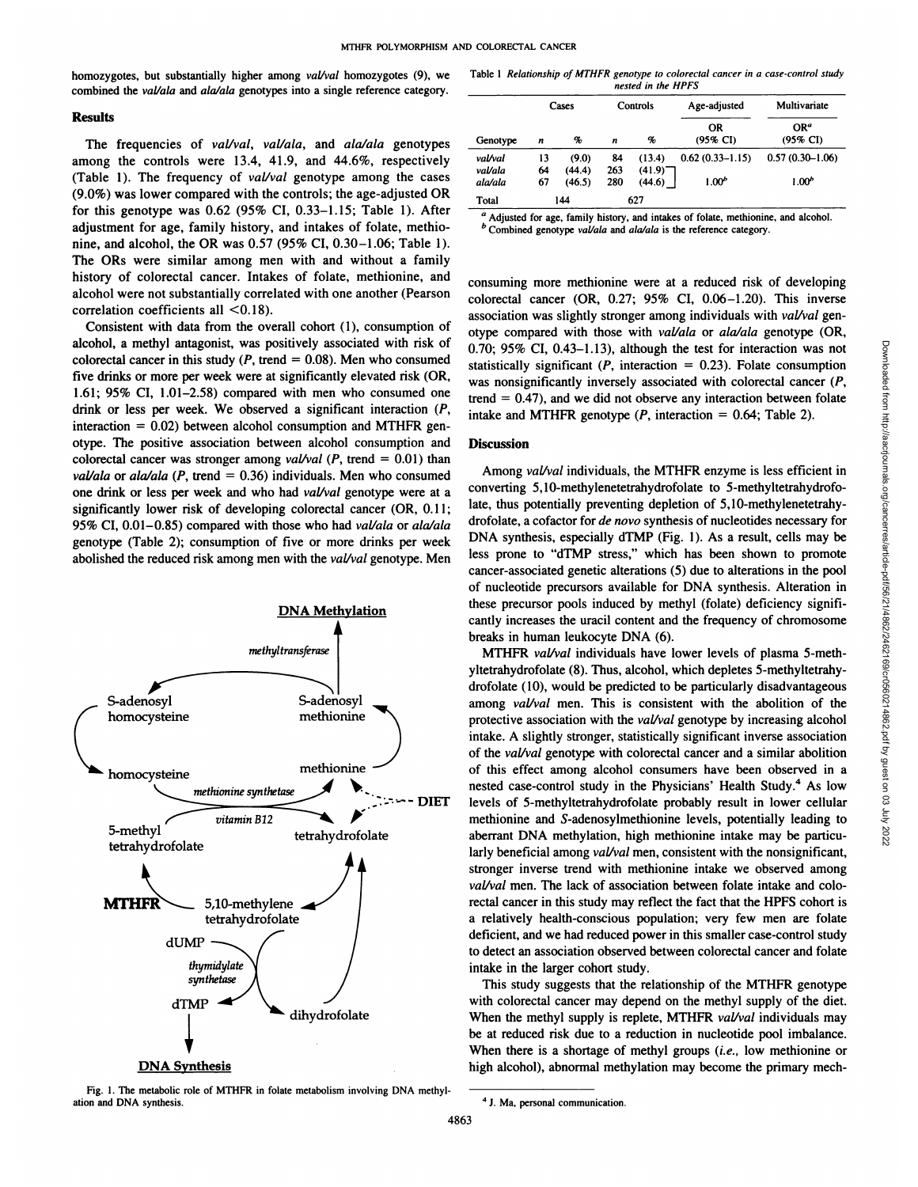homozygotes, but substantially higher among val/val homozygotes (9), we combined the val/ala and ala/ala genotypes into a single reference category.

#### Results

The frequencies of val/val, val/ala, and ala/ala genotypes among the controls were 13.4, 41.9, and 44.6%, respectively (Table 1). The frequency of val/val genotype among the cases (9.0%) was lower compared with the controls; the age-adjusted OR **for this genotype was 0.62 (95% CI, 0.33—1.15;Table 1). After** adjustment for age, family history, and intakes of folate, methio **nine, and alcohol, the OR was 0.57 (95% CI, 0.30—1.06;Table 1).** The ORs were similar among men with and without a family history of colorectal cancer. Intakes of folate, methionine, and alcohol were not substantially correlated with one another (Pearson correlation coefficients all <0.18).

Consistent with data from the overall cohort (1), consumption of **alcohol, a methyl antagonist, was positively associated with risk of** colorectal cancer in this study ( $P$ , trend = 0.08). Men who consumed five drinks or more per week were at significantly elevated risk (OR, **1.61; 95% CI, 1.01—2.58)compared with men who consumed one** drink or less per week. We observed a significant interaction (P, interaction  $= 0.02$ ) between alcohol consumption and MTHFR genotype. The positive association between alcohol consumption and colorectal cancer was stronger among *val/val* ( $P$ , trend = 0.01) than *val/ala* or *ala/ala* (*P*, trend = 0.36) individuals. Men who consumed **one drink or less per week and who had val/val genotype were at a** significantly lower risk of developing colorectal cancer (OR, 0.11; *95% CI, 0.01—0.85)compared with those who had val/ala or ala/ala* genotype (Table 2); consumption of five or more drinks per week abolished the reduced risk among men with the val/val genotype. Men



Fig. 1. The metabolic role of MTHFR in folate metabolism involving DNA methyl **ation and DNA** synthesis. **4 J. Ma, personal communication.** 

**Table 1 Relationship of MTHFR genotype to colorectal cancer in a case-control study** *nested in the HPFS*

| Genotype | Cases |        | Controls |                       | Age-adjusted        | Multivariate                |
|----------|-------|--------|----------|-----------------------|---------------------|-----------------------------|
|          | n     | %      | n        | %                     | ΟR<br>(95% CI)      | OR <sup>a</sup><br>(95% CI) |
| val/val  | 13    | (9.0)  | 84       | (13.4)                | $0.62(0.33 - 1.15)$ | $0.57(0.30-1.06)$           |
| val/ala  | 64    | (44.4) | 263      | $(41.9)$ <sup>-</sup> |                     |                             |
| ala/ala  | 67    | (46.5) | 280      | (44.6)                | 1.00 <sup>b</sup>   | 1.00 <sup>b</sup>           |
| Total    | 144   |        | 627      |                       |                     |                             |

**Adjusted for age, family history, and intakes of folate, methionine, and alcohol. b Combined genotype val/ala and ala/ala is the reference category.**

consuming more methionine were at a reduced risk of developing colorectal cancer (OR, 0.27; 95% CI, 0.06—1.20). This inverse association was slightly stronger among individuals with val/val genotype compared with those with val/ala or ala/ala genotype (OR, 0.70; 95% CI,  $0.43-1.13$ ), although the test for interaction was not was nonsignificantly inversely associated with colorectal cancer (P, trend  $= 0.47$ ), and we did not observe any interaction between folate intake and MTHFR genotype  $(P,$  interaction = 0.64; Table 2).

## **Discussion**

Among val/val individuals, the MTHFR enzyme is less efficient in converting 5,10-methylenetetrahydrofolate to 5-methyltetrahydrofo late, thus potentially preventing depletion of 5,lO-methylenetetrahy drofolate, a cofactor for de novo synthesis of nucleotides necessary for DNA synthesis, especially dTMP (Fig. 1). As a result, cells may be less prone to "dTMP stress," which has been shown to promote cancer-associated genetic alterations (5) due to alterations in the pool of nucleotide precursors available for DNA synthesis. Alteration in these precursor pools induced by methyl (folate) deficiency signifi cantly increases the uracil content and the frequency of chromosome breaks in human leukocyte DNA (6).

0.70: 95% CI, 0.43–1.13), although the test for interaction was not<br>statistically significant ( $P$ , interaction = 0.23). Folate consumption<br>was nonsignificantly inversely associated with colorectal cancer ( $P$ ,<br>trend = 0. MTHFR val/val individuals have lower levels of plasma 5-methyltetrahydrofolate (8). Thus, alcohol, which depletes 5-methyltetrahy drofolate (10), would be predicted to be particularly disadvantageous among *val/val* men. This is consistent with the abolition of the protective association with the *val/val* genotype by increasing alcohol intake. A slightly stronger, statistically significant inverse association of the val/val genotype with colorectal cancer and a similar abolition of this effect among alcohol consumers have been observed in a nested case-control study in the Physicians' Health Study.<sup>4</sup> As low levels of 5-methyltetrahydrofolate probably result in lower cellular methionine and S-adenosylmethionine levels, potentially leading to aberrant DNA methylation, high methionine intake may be particu larly beneficial among  $val$ *val* men, consistent with the nonsignificant, stronger inverse trend with methionine intake we observed among  $val$ /*val* men. The lack of association between folate intake and colorectal cancer in this study may reflect the fact that the HPFS cohort is a relatively health-conscious population; very few men are folate deficient, and we had reduced power in this smaller case-control study to detect an association observed between coborectal cancer and folate intake in the larger cohort study.

This study suggests that the relationship of the MTHFR genotype with colorectal cancer may depend on the methyl supply of the diet. When the methyl supply is replete, MTHFR val/val individuals may be at reduced risk due to a reduction in nucleotide pool imbalance. When there is a shortage of methyl groups *(i.e., low methionine or* high alcohol), abnormal methylation may become the primary mech-